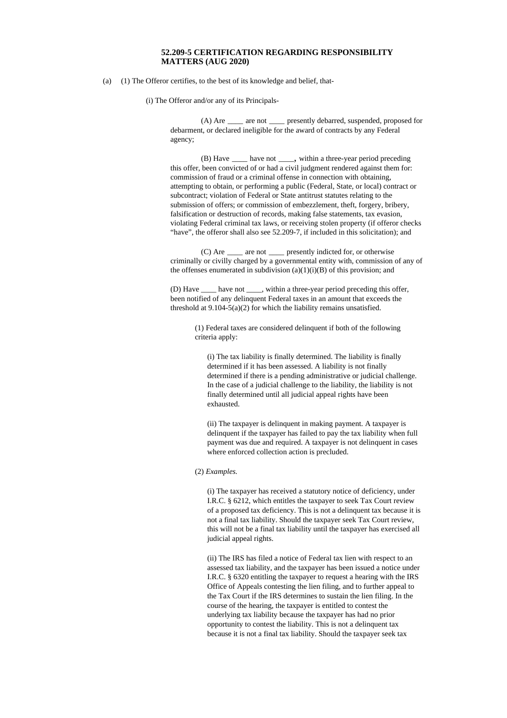## **52.209-5 CERTIFICATION REGARDING RESPONSIBILITY MATTERS (AUG 2020)**

(a) (1) The Offeror certifies, to the best of its knowledge and belief, that-

(i) The Offeror and/or any of its Principals-

(A) Are *\_\_\_\_* are not *\_\_\_\_* presently debarred, suspended, proposed for debarment, or declared ineligible for the award of contracts by any Federal agency;

(B) Have *\_\_\_\_* have not *\_\_\_\_*, within a three-year period preceding this offer, been convicted of or had a civil judgment rendered against them for: commission of fraud or a criminal offense in connection with obtaining, attempting to obtain, or performing a public (Federal, State, or local) contract or subcontract; violation of Federal or State antitrust statutes relating to the submission of offers; or commission of embezzlement, theft, forgery, bribery, falsification or destruction of records, making false statements, tax evasion, violating Federal criminal tax laws, or receiving stolen property (if offeror checks "have", the offeror shall also see 52.209-7, if included in this solicitation); and

(C) Are *\_\_\_\_* are not *\_\_\_\_* presently indicted for, or otherwise criminally or civilly charged by a governmental entity with, commission of any of the offenses enumerated in subdivision  $(a)(1)(i)(B)$  of this provision; and

(D) Have *\_\_\_\_* have not *\_\_\_\_*, within a three-year period preceding this offer, been notified of any delinquent Federal taxes in an amount that exceeds the threshold at 9.104-5(a)(2) for which the liability remains unsatisfied.

> (1) Federal taxes are considered delinquent if both of the following criteria apply:

(i) The tax liability is finally determined. The liability is finally determined if it has been assessed. A liability is not finally determined if there is a pending administrative or judicial challenge. In the case of a judicial challenge to the liability, the liability is not finally determined until all judicial appeal rights have been exhausted.

(ii) The taxpayer is delinquent in making payment. A taxpayer is delinquent if the taxpayer has failed to pay the tax liability when full payment was due and required. A taxpayer is not delinquent in cases where enforced collection action is precluded.

## (2) *Examples.*

(i) The taxpayer has received a statutory notice of deficiency, under I.R.C. § 6212, which entitles the taxpayer to seek Tax Court review of a proposed tax deficiency. This is not a delinquent tax because it is not a final tax liability. Should the taxpayer seek Tax Court review, this will not be a final tax liability until the taxpayer has exercised all judicial appeal rights.

(ii) The IRS has filed a notice of Federal tax lien with respect to an assessed tax liability, and the taxpayer has been issued a notice under I.R.C. § 6320 entitling the taxpayer to request a hearing with the IRS Office of Appeals contesting the lien filing, and to further appeal to the Tax Court if the IRS determines to sustain the lien filing. In the course of the hearing, the taxpayer is entitled to contest the underlying tax liability because the taxpayer has had no prior opportunity to contest the liability. This is not a delinquent tax because it is not a final tax liability. Should the taxpayer seek tax